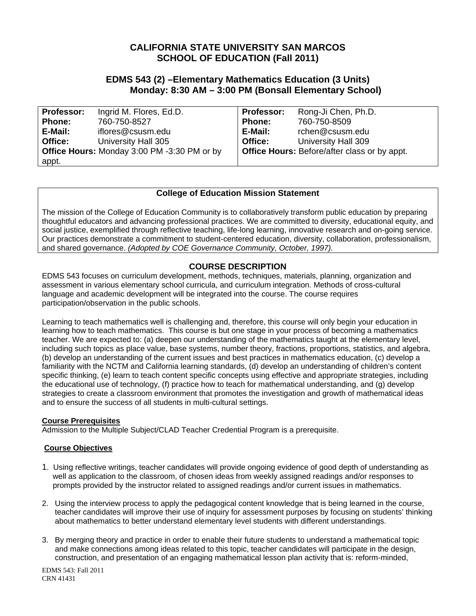# **CALIFORNIA STATE UNIVERSITY SAN MARCOS SCHOOL OF EDUCATION (Fall 2011)**

# **EDMS 543 (2) –Elementary Mathematics Education (3 Units) Monday: 8:30 AM – 3:00 PM (Bonsall Elementary School)**

| <b>Professor:</b> | Ingrid M. Flores, Ed.D.                            | <b>Professor:</b> | Rong-Ji Chen, Ph.D.                                 |
|-------------------|----------------------------------------------------|-------------------|-----------------------------------------------------|
| <b>Phone:</b>     | 760-750-8527                                       | <b>Phone:</b>     | 760-750-8509                                        |
| E-Mail:           | iflores@csusm.edu                                  | E-Mail:           | rchen@csusm.edu                                     |
| Office:           | University Hall 305                                | Office:           | University Hall 309                                 |
|                   | <b>Office Hours: Monday 3:00 PM -3:30 PM or by</b> |                   | <b>Office Hours: Before/after class or by appt.</b> |
| appt.             |                                                    |                   |                                                     |

# **College of Education Mission Statement**

The mission of the College of Education Community is to collaboratively transform public education by preparing thoughtful educators and advancing professional practices. We are committed to diversity, educational equity, and social justice, exemplified through reflective teaching, life-long learning, innovative research and on-going service. Our practices demonstrate a commitment to student-centered education, diversity, collaboration, professionalism, and shared governance. *(Adopted by COE Governance Community, October, 1997).* 

# **COURSE DESCRIPTION**

EDMS 543 focuses on curriculum development, methods, techniques, materials, planning, organization and assessment in various elementary school curricula, and curriculum integration. Methods of cross-cultural language and academic development will be integrated into the course. The course requires participation/observation in the public schools.

Learning to teach mathematics well is challenging and, therefore, this course will only begin your education in learning how to teach mathematics. This course is but one stage in your process of becoming a mathematics teacher. We are expected to: (a) deepen our understanding of the mathematics taught at the elementary level, including such topics as place value, base systems, number theory, fractions, proportions, statistics, and algebra, (b) develop an understanding of the current issues and best practices in mathematics education, (c) develop a familiarity with the NCTM and California learning standards, (d) develop an understanding of children's content specific thinking, (e) learn to teach content specific concepts using effective and appropriate strategies, including the educational use of technology, (f) practice how to teach for mathematical understanding, and (g) develop strategies to create a classroom environment that promotes the investigation and growth of mathematical ideas and to ensure the success of all students in multi-cultural settings.

# **Course Prerequisites**

Admission to the Multiple Subject/CLAD Teacher Credential Program is a prerequisite.

# **Course Objectives**

- 1. Using reflective writings, teacher candidates will provide ongoing evidence of good depth of understanding as well as application to the classroom, of chosen ideas from weekly assigned readings and/or responses to prompts provided by the instructor related to assigned readings and/or current issues in mathematics.
- 2. Using the interview process to apply the pedagogical content knowledge that is being learned in the course, teacher candidates will improve their use of inquiry for assessment purposes by focusing on students' thinking about mathematics to better understand elementary level students with different understandings.
- 3. By merging theory and practice in order to enable their future students to understand a mathematical topic and make connections among ideas related to this topic, teacher candidates will participate in the design, construction, and presentation of an engaging mathematical lesson plan activity that is: reform-minded,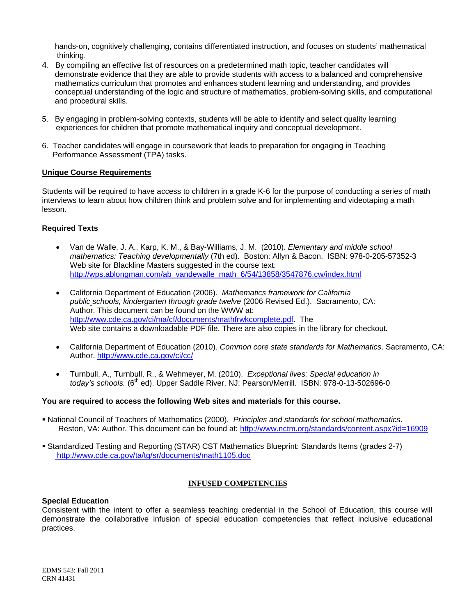hands-on, cognitively challenging, contains differentiated instruction, and focuses on students' mathematical thinking.

- 4. By compiling an effective list of resources on a predetermined math topic, teacher candidates will demonstrate evidence that they are able to provide students with access to a balanced and comprehensive mathematics curriculum that promotes and enhances student learning and understanding, and provides conceptual understanding of the logic and structure of mathematics, problem-solving skills, and computational and procedural skills.
- 5. By engaging in problem-solving contexts, students will be able to identify and select quality learning experiences for children that promote mathematical inquiry and conceptual development.
- 6. Teacher candidates will engage in coursework that leads to preparation for engaging in Teaching Performance Assessment (TPA) tasks.

## **Unique Course Requirements**

Students will be required to have access to children in a grade K-6 for the purpose of conducting a series of math interviews to learn about how children think and problem solve and for implementing and videotaping a math lesson.

## **Required Texts**

- http://wps.ablongman.com/ab\_vandewalle\_math\_6/54/13858/3547876.cw/index.html Van de Walle, J. A., Karp, K. M., & Bay-Williams, J. M. (2010). *Elementary and middle school mathematics: Teaching developmentally* (7th ed). Boston: Allyn & Bacon. ISBN: 978-0-205-57352-3 Web site for Blackline Masters suggested in the course text:
- California Department of Education (2006). *Mathematics framework for California public schools, kindergarten through grade twelve* (2006 Revised Ed.). Sacramento, CA: Author. This document can be found on the WWW at: http://www.cde.ca.gov/ci/ma/cf/documents/mathfrwkcomplete.pdf. The Web site contains a downloadable PDF file. There are also copies in the library for checkout**.**
- Author. http://www.cde.ca.gov/ci/cc/ California Department of Education (2010). *Common core state standards for Mathematics*. Sacramento, CA:
- Turnbull, A., Turnbull, R., & Wehmeyer, M. (2010). *Exceptional lives: Special education in today's schools.* (6<sup>th</sup> ed). Upper Saddle River, NJ: Pearson/Merrill. ISBN: 978-0-13-502696-0

#### **You are required to access the following Web sites and materials for this course.**

- National Council of Teachers of Mathematics (2000). *Principles and standards for school mathematics*. Reston, VA: Author. This document can be found at: http://www.nctm.org/standards/content.aspx?id=16909
- Standardized Testing and Reporting (STAR) CST Mathematics Blueprint: Standards Items (grades 2-7) http://www.cde.ca.gov/ta/tg/sr/documents/math1105.doc

#### **INFUSED COMPETENCIES**

#### **Special Education**

Consistent with the intent to offer a seamless teaching credential in the School of Education, this course will demonstrate the collaborative infusion of special education competencies that reflect inclusive educational practices.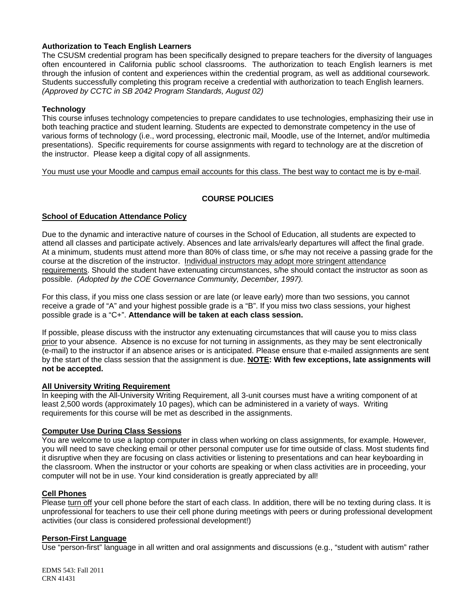## **Authorization to Teach English Learners**

 through the infusion of content and experiences within the credential program, as well as additional coursework. The CSUSM credential program has been specifically designed to prepare teachers for the diversity of languages often encountered in California public school classrooms. The authorization to teach English learners is met Students successfully completing this program receive a credential with authorization to teach English learners. *(Approved by CCTC in SB 2042 Program Standards, August 02)* 

### **Technology**

This course infuses technology competencies to prepare candidates to use technologies, emphasizing their use in both teaching practice and student learning. Students are expected to demonstrate competency in the use of various forms of technology (i.e., word processing, electronic mail, Moodle, use of the Internet, and/or multimedia presentations). Specific requirements for course assignments with regard to technology are at the discretion of the instructor. Please keep a digital copy of all assignments.

You must use your Moodle and campus email accounts for this class. The best way to contact me is by e-mail.

# **COURSE POLICIES**

## **School of Education Attendance Policy**

 possible. *(Adopted by the COE Governance Community, December, 1997).* Due to the dynamic and interactive nature of courses in the School of Education, all students are expected to attend all classes and participate actively. Absences and late arrivals/early departures will affect the final grade. At a minimum, students must attend more than 80% of class time, or s/he may not receive a passing grade for the course at the discretion of the instructor. Individual instructors may adopt more stringent attendance requirements. Should the student have extenuating circumstances, s/he should contact the instructor as soon as

For this class, if you miss one class session or are late (or leave early) more than two sessions, you cannot receive a grade of "A" and your highest possible grade is a "B". If you miss two class sessions, your highest possible grade is a "C+". **Attendance will be taken at each class session.** 

If possible, please discuss with the instructor any extenuating circumstances that will cause you to miss class prior to your absence. Absence is no excuse for not turning in assignments, as they may be sent electronically (e-mail) to the instructor if an absence arises or is anticipated. Please ensure that e-mailed assignments are sent by the start of the class session that the assignment is due. **NOTE: With few exceptions, late assignments will not be accepted.** 

#### **All University Writing Requirement**

In keeping with the All-University Writing Requirement, all 3-unit courses must have a writing component of at least 2,500 words (approximately 10 pages), which can be administered in a variety of ways. Writing requirements for this course will be met as described in the assignments.

## **Computer Use During Class Sessions**

You are welcome to use a laptop computer in class when working on class assignments, for example. However, you will need to save checking email or other personal computer use for time outside of class. Most students find it disruptive when they are focusing on class activities or listening to presentations and can hear keyboarding in the classroom. When the instructor or your cohorts are speaking or when class activities are in proceeding, your computer will not be in use. Your kind consideration is greatly appreciated by all!

# **Cell Phones**

Please turn off your cell phone before the start of each class. In addition, there will be no texting during class. It is unprofessional for teachers to use their cell phone during meetings with peers or during professional development activities (our class is considered professional development!)

### **Person-First Language**

Use "person-first" language in all written and oral assignments and discussions (e.g., "student with autism" rather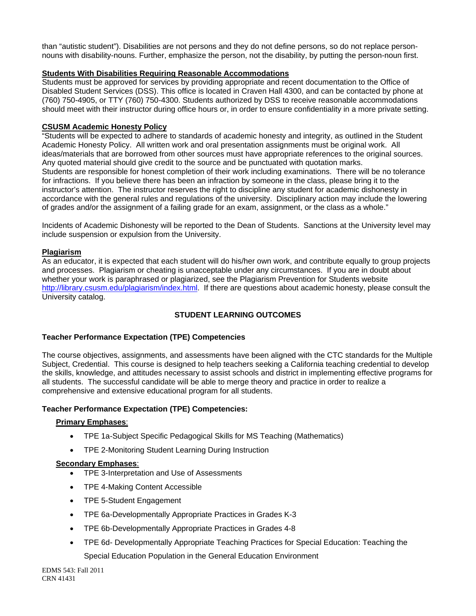than "autistic student"). Disabilities are not persons and they do not define persons, so do not replace personnouns with disability-nouns. Further, emphasize the person, not the disability, by putting the person-noun first.

## **Students With Disabilities Requiring Reasonable Accommodations**

Students must be approved for services by providing appropriate and recent documentation to the Office of Disabled Student Services (DSS). This office is located in Craven Hall 4300, and can be contacted by phone at (760) 750-4905, or TTY (760) 750-4300. Students authorized by DSS to receive reasonable accommodations should meet with their instructor during office hours or, in order to ensure confidentiality in a more private setting.

## **CSUSM Academic Honesty Policy**

"Students will be expected to adhere to standards of academic honesty and integrity, as outlined in the Student Academic Honesty Policy. All written work and oral presentation assignments must be original work. All ideas/materials that are borrowed from other sources must have appropriate references to the original sources. Any quoted material should give credit to the source and be punctuated with quotation marks. Students are responsible for honest completion of their work including examinations. There will be no tolerance for infractions. If you believe there has been an infraction by someone in the class, please bring it to the instructor's attention. The instructor reserves the right to discipline any student for academic dishonesty in accordance with the general rules and regulations of the university. Disciplinary action may include the lowering of grades and/or the assignment of a failing grade for an exam, assignment, or the class as a whole."

Incidents of Academic Dishonesty will be reported to the Dean of Students. Sanctions at the University level may include suspension or expulsion from the University.

# **Plagiarism**

As an educator, it is expected that each student will do his/her own work, and contribute equally to group projects and processes. Plagiarism or cheating is unacceptable under any circumstances. If you are in doubt about whether your work is paraphrased or plagiarized, see the Plagiarism Prevention for Students website http://library.csusm.edu/plagiarism/index.html. If there are questions about academic honesty, please consult the University catalog.

# **STUDENT LEARNING OUTCOMES**

# **Teacher Performance Expectation (TPE) Competencies**

The course objectives, assignments, and assessments have been aligned with the CTC standards for the Multiple Subject, Credential. This course is designed to help teachers seeking a California teaching credential to develop the skills, knowledge, and attitudes necessary to assist schools and district in implementing effective programs for all students. The successful candidate will be able to merge theory and practice in order to realize a comprehensive and extensive educational program for all students.

# **Teacher Performance Expectation (TPE) Competencies:**

#### **Primary Emphases**:

- TPE 1a-Subject Specific Pedagogical Skills for MS Teaching (Mathematics)
- TPE 2-Monitoring Student Learning During Instruction

#### **Secondary Emphases**:

- TPE 3-Interpretation and Use of Assessments
- TPE 4-Making Content Accessible
- TPE 5-Student Engagement
- TPE 6a-Developmentally Appropriate Practices in Grades K-3
- TPE 6b-Developmentally Appropriate Practices in Grades 4-8
- TPE 6d- Developmentally Appropriate Teaching Practices for Special Education: Teaching the Special Education Population in the General Education Environment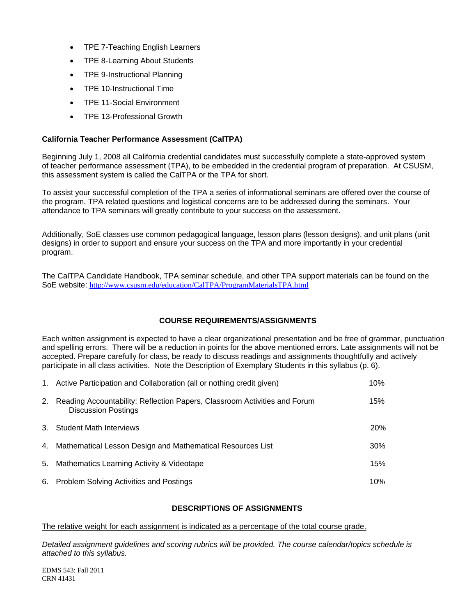- TPE 7-Teaching English Learners
- TPE 8-Learning About Students
- TPE 9-Instructional Planning
- TPE 10-Instructional Time
- TPE 11-Social Environment
- TPE 13-Professional Growth

### **California Teacher Performance Assessment (CalTPA)**

Beginning July 1, 2008 all California credential candidates must successfully complete a state-approved system of teacher performance assessment (TPA), to be embedded in the credential program of preparation. At CSUSM, this assessment system is called the CalTPA or the TPA for short.

To assist your successful completion of the TPA a series of informational seminars are offered over the course of the program. TPA related questions and logistical concerns are to be addressed during the seminars. Your attendance to TPA seminars will greatly contribute to your success on the assessment.

Additionally, SoE classes use common pedagogical language, lesson plans (lesson designs), and unit plans (unit designs) in order to support and ensure your success on the TPA and more importantly in your credential program.

The CalTPA Candidate Handbook, TPA seminar schedule, and other TPA support materials can be found on the SoE website: http://www.csusm.edu/education/CalTPA/ProgramMaterialsTPA.html

#### **COURSE REQUIREMENTS/ASSIGNMENTS**

Each written assignment is expected to have a clear organizational presentation and be free of grammar, punctuation and spelling errors. There will be a reduction in points for the above mentioned errors. Late assignments will not be accepted. Prepare carefully for class, be ready to discuss readings and assignments thoughtfully and actively participate in all class activities. Note the Description of Exemplary Students in this syllabus (p. 6).

|    | 1. Active Participation and Collaboration (all or nothing credit given)                                 | 10%    |
|----|---------------------------------------------------------------------------------------------------------|--------|
| 2. | Reading Accountability: Reflection Papers, Classroom Activities and Forum<br><b>Discussion Postings</b> | 15%    |
|    | 3. Student Math Interviews                                                                              | 20%    |
|    | 4. Mathematical Lesson Design and Mathematical Resources List                                           | $30\%$ |
|    | 5. Mathematics Learning Activity & Videotape                                                            | 15%    |
|    | 6. Problem Solving Activities and Postings                                                              | 10%    |

#### **DESCRIPTIONS OF ASSIGNMENTS**

The relative weight for each assignment is indicated as a percentage of the total course grade.

*Detailed assignment guidelines and scoring rubrics will be provided. The course calendar/topics schedule is attached to this syllabus.*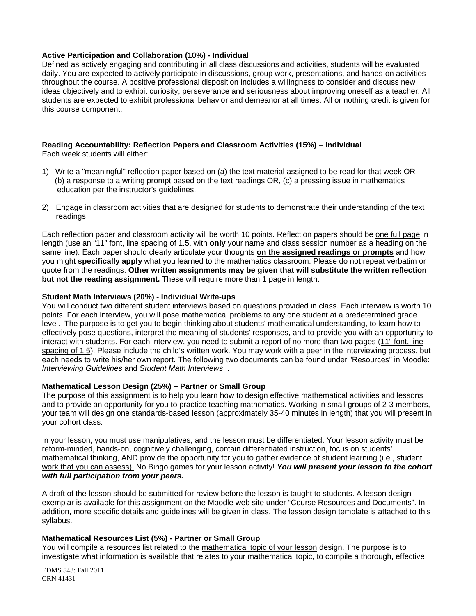## **Active Participation and Collaboration (10%) - Individual**

Defined as actively engaging and contributing in all class discussions and activities, students will be evaluated daily. You are expected to actively participate in discussions, group work, presentations, and hands-on activities throughout the course. A positive professional disposition includes a willingness to consider and discuss new ideas objectively and to exhibit curiosity, perseverance and seriousness about improving oneself as a teacher. All students are expected to exhibit professional behavior and demeanor at all times. All or nothing credit is given for this course component.

#### **Reading Accountability: Reflection Papers and Classroom Activities (15%) – Individual**  Each week students will either:

- 1) Write a "meaningful" reflection paper based on (a) the text material assigned to be read for that week OR (b) a response to a writing prompt based on the text readings OR, (c) a pressing issue in mathematics education per the instructor's guidelines.
- 2) Engage in classroom activities that are designed for students to demonstrate their understanding of the text readings

Each reflection paper and classroom activity will be worth 10 points. Reflection papers should be one full page in length (use an "11" font, line spacing of 1.5, with **only** your name and class session number as a heading on the same line). Each paper should clearly articulate your thoughts **on the assigned readings or prompts** and how you might **specifically apply** what you learned to the mathematics classroom. Please do not repeat verbatim or quote from the readings. **Other written assignments may be given that will substitute the written reflection but not the reading assignment.** These will require more than 1 page in length.

#### **Student Math Interviews (20%) - Individual Write-ups**

 *Interviewing Guidelines* and *Student Math Interviews* . You will conduct two different student interviews based on questions provided in class. Each interview is worth 10 points. For each interview, you will pose mathematical problems to any one student at a predetermined grade level. The purpose is to get you to begin thinking about students' mathematical understanding, to learn how to effectively pose questions, interpret the meaning of students' responses, and to provide you with an opportunity to interact with students. For each interview, you need to submit a report of no more than two pages (11" font, line spacing of 1.5). Please include the child's written work. You may work with a peer in the interviewing process, but each needs to write his/her own report. The following two documents can be found under "Resources" in Moodle:

#### **Mathematical Lesson Design (25%) – Partner or Small Group**

The purpose of this assignment is to help you learn how to design effective mathematical activities and lessons and to provide an opportunity for you to practice teaching mathematics. Working in small groups of 2-3 members, your team will design one standards-based lesson (approximately 35-40 minutes in length) that you will present in your cohort class.

 *with full participation from your peers.* In your lesson, you must use manipulatives, and the lesson must be differentiated. Your lesson activity must be reform-minded, hands-on, cognitively challenging, contain differentiated instruction, focus on students' mathematical thinking, AND provide the opportunity for you to gather evidence of student learning (i.e., student work that you can assess). No Bingo games for your lesson activity! *You will present your lesson to the cohort* 

A draft of the lesson should be submitted for review before the lesson is taught to students. A lesson design exemplar is available for this assignment on the Moodle web site under "Course Resources and Documents". In addition, more specific details and guidelines will be given in class. The lesson design template is attached to this syllabus.

### **Mathematical Resources List (5%) - Partner or Small Group**

You will compile a resources list related to the mathematical topic of your lesson design. The purpose is to investigate what information is available that relates to your mathematical topic**,** to compile a thorough, effective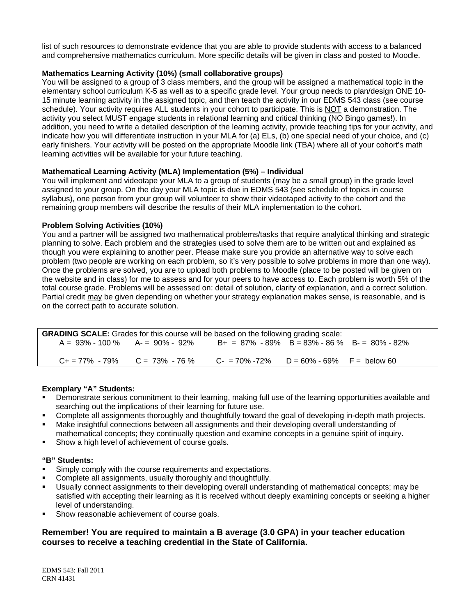list of such resources to demonstrate evidence that you are able to provide students with access to a balanced and comprehensive mathematics curriculum. More specific details will be given in class and posted to Moodle.

# **Mathematics Learning Activity (10%) (small collaborative groups)**

You will be assigned to a group of 3 class members, and the group will be assigned a mathematical topic in the elementary school curriculum K-5 as well as to a specific grade level. Your group needs to plan/design ONE 10- 15 minute learning activity in the assigned topic, and then teach the activity in our EDMS 543 class (see course schedule). Your activity requires ALL students in your cohort to participate. This is NOT a demonstration. The activity you select MUST engage students in relational learning and critical thinking (NO Bingo games!). In addition, you need to write a detailed description of the learning activity, provide teaching tips for your activity, and indicate how you will differentiate instruction in your MLA for (a) ELs, (b) one special need of your choice, and (c) early finishers. Your activity will be posted on the appropriate Moodle link (TBA) where all of your cohort's math learning activities will be available for your future teaching.

# **Mathematical Learning Activity (MLA) Implementation (5%) – Individual**

You will implement and videotape your MLA to a group of students (may be a small group) in the grade level assigned to your group. On the day your MLA topic is due in EDMS 543 (see schedule of topics in course syllabus), one person from your group will volunteer to show their videotaped activity to the cohort and the remaining group members will describe the results of their MLA implementation to the cohort.

# **Problem Solving Activities (10%)**

You and a partner will be assigned two mathematical problems/tasks that require analytical thinking and strategic planning to solve. Each problem and the strategies used to solve them are to be written out and explained as though you were explaining to another peer. Please make sure you provide an alternative way to solve each problem (two people are working on each problem, so it's very possible to solve problems in more than one way). Once the problems are solved, you are to upload both problems to Moodle (place to be posted will be given on the website and in class) for me to assess and for your peers to have access to. Each problem is worth 5% of the total course grade. Problems will be assessed on: detail of solution, clarity of explanation, and a correct solution. Partial credit may be given depending on whether your strategy explanation makes sense, is reasonable, and is on the correct path to accurate solution.

| <b>GRADING SCALE:</b> Grades for this course will be based on the following grading scale: |  |                                                  |  |  |
|--------------------------------------------------------------------------------------------|--|--------------------------------------------------|--|--|
| $A = 93\% - 100\%$ $A = 90\% - 92\%$                                                       |  | $B+ = 87\% - 89\%$ B = 83% - 86 % B = 80% - 82%  |  |  |
| $C_+ = 77\% - 79\%$ $C = 73\% - 76\%$                                                      |  | $C = 70\% - 72\%$ $D = 60\% - 69\%$ F = below 60 |  |  |

# **Exemplary "A" Students:**

- Demonstrate serious commitment to their learning, making full use of the learning opportunities available and searching out the implications of their learning for future use.
- Complete all assignments thoroughly and thoughtfully toward the goal of developing in-depth math projects.
- Make insightful connections between all assignments and their developing overall understanding of mathematical concepts; they continually question and examine concepts in a genuine spirit of inquiry.
- **Show a high level of achievement of course goals.**

# **"B" Students:**

- Simply comply with the course requirements and expectations.
- Complete all assignments, usually thoroughly and thoughtfully.
- Usually connect assignments to their developing overall understanding of mathematical concepts; may be satisfied with accepting their learning as it is received without deeply examining concepts or seeking a higher level of understanding.
- Show reasonable achievement of course goals.

# **Remember! You are required to maintain a B average (3.0 GPA) in your teacher education courses to receive a teaching credential in the State of California.**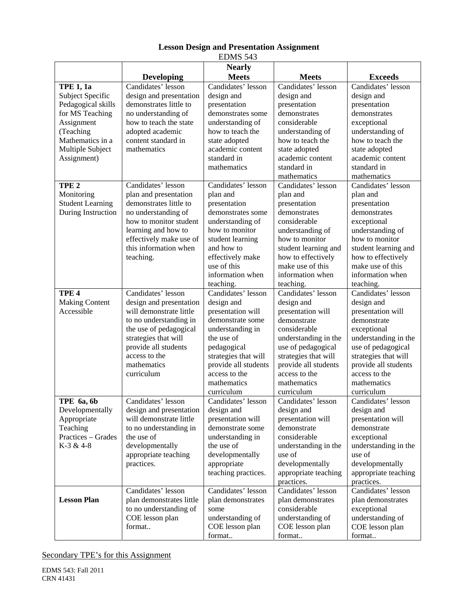|                                                                                                                                                                 |                                                                                                                                                                                                                            | ерию э <del>т</del> э                                                                                                                                                                                                    |                                                                                                                                                                                                                                  |                                                                                                                                                                                                                                 |
|-----------------------------------------------------------------------------------------------------------------------------------------------------------------|----------------------------------------------------------------------------------------------------------------------------------------------------------------------------------------------------------------------------|--------------------------------------------------------------------------------------------------------------------------------------------------------------------------------------------------------------------------|----------------------------------------------------------------------------------------------------------------------------------------------------------------------------------------------------------------------------------|---------------------------------------------------------------------------------------------------------------------------------------------------------------------------------------------------------------------------------|
|                                                                                                                                                                 | <b>Developing</b>                                                                                                                                                                                                          | <b>Nearly</b><br><b>Meets</b>                                                                                                                                                                                            | <b>Meets</b>                                                                                                                                                                                                                     | <b>Exceeds</b>                                                                                                                                                                                                                  |
| <b>TPE 1, 1a</b><br>Subject Specific<br>Pedagogical skills<br>for MS Teaching<br>Assignment<br>(Teaching<br>Mathematics in a<br>Multiple Subject<br>Assignment) | Candidates' lesson<br>design and presentation<br>demonstrates little to<br>no understanding of<br>how to teach the state<br>adopted academic<br>content standard in<br>mathematics                                         | Candidates' lesson<br>design and<br>presentation<br>demonstrates some<br>understanding of<br>how to teach the<br>state adopted<br>academic content<br>standard in<br>mathematics                                         | Candidates' lesson<br>design and<br>presentation<br>demonstrates<br>considerable<br>understanding of<br>how to teach the<br>state adopted<br>academic content<br>standard in<br>mathematics                                      | Candidates' lesson<br>design and<br>presentation<br>demonstrates<br>exceptional<br>understanding of<br>how to teach the<br>state adopted<br>academic content<br>standard in<br>mathematics                                      |
| TPE <sub>2</sub><br>Monitoring<br><b>Student Learning</b><br>During Instruction                                                                                 | Candidates' lesson<br>plan and presentation<br>demonstrates little to<br>no understanding of<br>how to monitor student<br>learning and how to<br>effectively make use of<br>this information when<br>teaching.             | Candidates' lesson<br>plan and<br>presentation<br>demonstrates some<br>understanding of<br>how to monitor<br>student learning<br>and how to<br>effectively make<br>use of this<br>information when<br>teaching.          | Candidates' lesson<br>plan and<br>presentation<br>demonstrates<br>considerable<br>understanding of<br>how to monitor<br>student learning and<br>how to effectively<br>make use of this<br>information when<br>teaching.          | Candidates' lesson<br>plan and<br>presentation<br>demonstrates<br>exceptional<br>understanding of<br>how to monitor<br>student learning and<br>how to effectively<br>make use of this<br>information when<br>teaching.          |
| TPE <sub>4</sub><br><b>Making Content</b><br>Accessible                                                                                                         | Candidates' lesson<br>design and presentation<br>will demonstrate little<br>to no understanding in<br>the use of pedagogical<br>strategies that will<br>provide all students<br>access to the<br>mathematics<br>curriculum | Candidates' lesson<br>design and<br>presentation will<br>demonstrate some<br>understanding in<br>the use of<br>pedagogical<br>strategies that will<br>provide all students<br>access to the<br>mathematics<br>curriculum | Candidates' lesson<br>design and<br>presentation will<br>demonstrate<br>considerable<br>understanding in the<br>use of pedagogical<br>strategies that will<br>provide all students<br>access to the<br>mathematics<br>curriculum | Candidates' lesson<br>design and<br>presentation will<br>demonstrate<br>exceptional<br>understanding in the<br>use of pedagogical<br>strategies that will<br>provide all students<br>access to the<br>mathematics<br>curriculum |
| TPE 6a, 6b<br>Developmentally<br>Appropriate<br>Teaching<br>Practices - Grades<br>K-3 & 4-8                                                                     | Candidates' lesson<br>design and presentation<br>will demonstrate little<br>to no understanding in<br>the use of<br>developmentally<br>appropriate teaching<br>practices.                                                  | Candidates' lesson<br>design and<br>presentation will<br>demonstrate some<br>understanding in<br>the use of<br>developmentally<br>appropriate<br>teaching practices.                                                     | Candidates' lesson<br>design and<br>presentation will<br>demonstrate<br>considerable<br>understanding in the<br>use of<br>developmentally<br>appropriate teaching<br>practices.                                                  | Candidates' lesson<br>design and<br>presentation will<br>demonstrate<br>exceptional<br>understanding in the<br>use of<br>developmentally<br>appropriate teaching<br>practices.                                                  |
| <b>Lesson Plan</b>                                                                                                                                              | Candidates' lesson<br>plan demonstrates little<br>to no understanding of<br>COE lesson plan<br>format                                                                                                                      | Candidates' lesson<br>plan demonstrates<br>some<br>understanding of<br>COE lesson plan<br>format                                                                                                                         | Candidates' lesson<br>plan demonstrates<br>considerable<br>understanding of<br>COE lesson plan<br>format                                                                                                                         | Candidates' lesson<br>plan demonstrates<br>exceptional<br>understanding of<br>COE lesson plan<br>format                                                                                                                         |

# **Lesson Design and Presentation Assignment**  EDMS 543

Secondary TPE's for this Assignment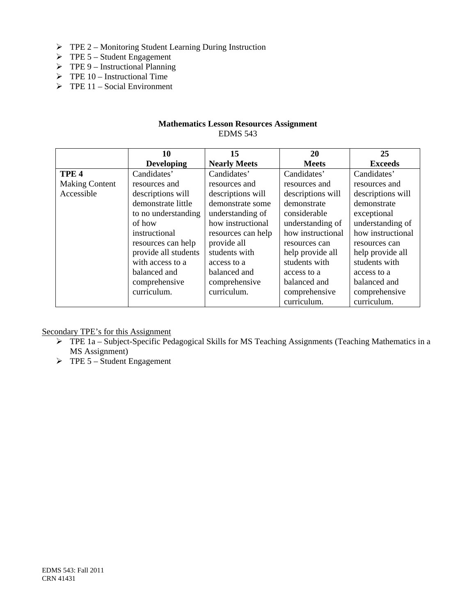- TPE 2 Monitoring Student Learning During Instruction
- $\triangleright$  TPE 5 Student Engagement
- $\triangleright$  TPE 9 Instructional Planning
- $\triangleright$  TPE 10 Instructional Time
- $\triangleright$  TPE 11 Social Environment

# **Mathematics Lesson Resources Assignment**  EDMS 543

|                       | 10                   | 15                  | 20                | 25                |
|-----------------------|----------------------|---------------------|-------------------|-------------------|
|                       | <b>Developing</b>    | <b>Nearly Meets</b> | <b>Meets</b>      | <b>Exceeds</b>    |
| TPE <sub>4</sub>      | Candidates'          | Candidates'         | Candidates'       | Candidates'       |
| <b>Making Content</b> | resources and        | resources and       | resources and     | resources and     |
| Accessible            | descriptions will    | descriptions will   | descriptions will | descriptions will |
|                       | demonstrate little   | demonstrate some    | demonstrate       | demonstrate       |
|                       | to no understanding  | understanding of    | considerable      | exceptional       |
|                       | of how               | how instructional   | understanding of  | understanding of  |
|                       | instructional        | resources can help  | how instructional | how instructional |
|                       | resources can help   | provide all         | resources can     | resources can     |
|                       | provide all students | students with       | help provide all  | help provide all  |
|                       | with access to a     | access to a         | students with     | students with     |
|                       | balanced and         | balanced and        | access to a       | access to a       |
|                       | comprehensive        | comprehensive       | balanced and      | balanced and      |
|                       | curriculum.          | curriculum.         | comprehensive     | comprehensive     |
|                       |                      |                     | curriculum.       | curriculum.       |

Secondary TPE's for this Assignment

- TPE 1a Subject-Specific Pedagogical Skills for MS Teaching Assignments (Teaching Mathematics in a MS Assignment)
- $\triangleright$  TPE 5 Student Engagement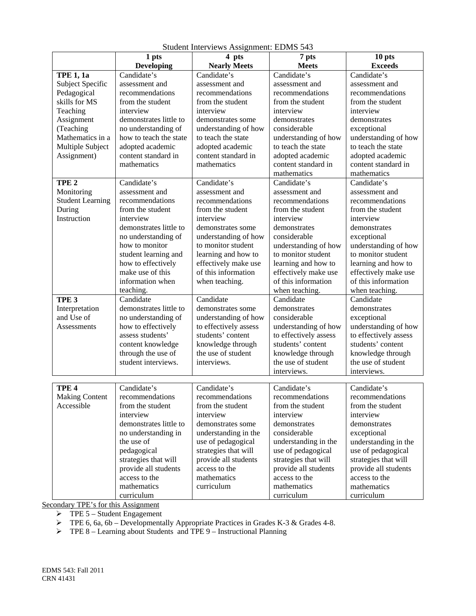|                         | 1 pts                  | 4 pts                 | 7 pts                 | 10 pts                |
|-------------------------|------------------------|-----------------------|-----------------------|-----------------------|
|                         | <b>Developing</b>      | <b>Nearly Meets</b>   | <b>Meets</b>          | <b>Exceeds</b>        |
| <b>TPE 1, 1a</b>        | Candidate's            | Candidate's           | Candidate's           | Candidate's           |
| Subject Specific        | assessment and         | assessment and        | assessment and        | assessment and        |
| Pedagogical             | recommendations        | recommendations       | recommendations       | recommendations       |
| skills for MS           | from the student       | from the student      | from the student      | from the student      |
| Teaching                | interview              | interview             | interview             | interview             |
| Assignment              | demonstrates little to | demonstrates some     | demonstrates          | demonstrates          |
| (Teaching               | no understanding of    | understanding of how  | considerable          | exceptional           |
| Mathematics in a        | how to teach the state | to teach the state    | understanding of how  | understanding of how  |
| Multiple Subject        | adopted academic       | adopted academic      | to teach the state    | to teach the state    |
| Assignment)             | content standard in    | content standard in   | adopted academic      | adopted academic      |
|                         | mathematics            | mathematics           | content standard in   | content standard in   |
|                         |                        |                       | mathematics           | mathematics           |
| TPE <sub>2</sub>        | Candidate's            | Candidate's           | Candidate's           | Candidate's           |
| Monitoring              | assessment and         | assessment and        | assessment and        | assessment and        |
| <b>Student Learning</b> | recommendations        | recommendations       | recommendations       | recommendations       |
| During                  | from the student       | from the student      | from the student      | from the student      |
| Instruction             | interview              | interview             | interview             | interview             |
|                         | demonstrates little to | demonstrates some     | demonstrates          | demonstrates          |
|                         | no understanding of    | understanding of how  | considerable          | exceptional           |
|                         | how to monitor         | to monitor student    | understanding of how  | understanding of how  |
|                         | student learning and   | learning and how to   | to monitor student    | to monitor student    |
|                         | how to effectively     | effectively make use  | learning and how to   | learning and how to   |
|                         | make use of this       | of this information   | effectively make use  | effectively make use  |
|                         | information when       | when teaching.        | of this information   | of this information   |
|                         | teaching.              |                       | when teaching.        | when teaching.        |
| TPE <sub>3</sub>        | Candidate              | Candidate             | Candidate             | Candidate             |
| Interpretation          | demonstrates little to | demonstrates some     | demonstrates          | demonstrates          |
| and Use of              | no understanding of    | understanding of how  | considerable          | exceptional           |
| Assessments             | how to effectively     | to effectively assess | understanding of how  | understanding of how  |
|                         | assess students'       | students' content     | to effectively assess | to effectively assess |
|                         | content knowledge      | knowledge through     | students' content     | students' content     |
|                         | through the use of     | the use of student    | knowledge through     | knowledge through     |
|                         | student interviews.    | interviews.           | the use of student    | the use of student    |
|                         |                        |                       | interviews.           | interviews.           |
|                         |                        |                       |                       |                       |
| TPE <sub>4</sub>        | Candidate's            | Candidate's           | Candidate's           | Candidate's           |
| <b>Making Content</b>   | recommendations        | recommendations       | recommendations       | recommendations       |
| Accessible              | from the student       | from the student      | from the student      | from the student      |
|                         | interview              | interview             | interview             | interview             |
|                         | demonstrates little to | demonstrates some     | demonstrates          | demonstrates          |
|                         | no understanding in    | understanding in the  | considerable          | exceptional           |
|                         | the use of             | use of pedagogical    | understanding in the  | understanding in the  |
|                         | pedagogical            | strategies that will  | use of pedagogical    | use of pedagogical    |
|                         | strategies that will   | provide all students  | strategies that will  | strategies that will  |
|                         | provide all students   | access to the         | provide all students  | provide all students  |
|                         | access to the          | mathematics           | access to the         | access to the         |
|                         | mathematics            | curriculum            | mathematics           | mathematics           |
|                         | curriculum             |                       | curriculum            | curriculum            |

Student Interviews Assignment: EDMS 543

Secondary TPE's for this Assignment

 $\triangleright$  TPE 5 – Student Engagement

 $\triangleright$  TPE 6, 6a, 6b – Developmentally Appropriate Practices in Grades K-3 & Grades 4-8.

 $\triangleright$  TPE 8 – Learning about Students and TPE 9 – Instructional Planning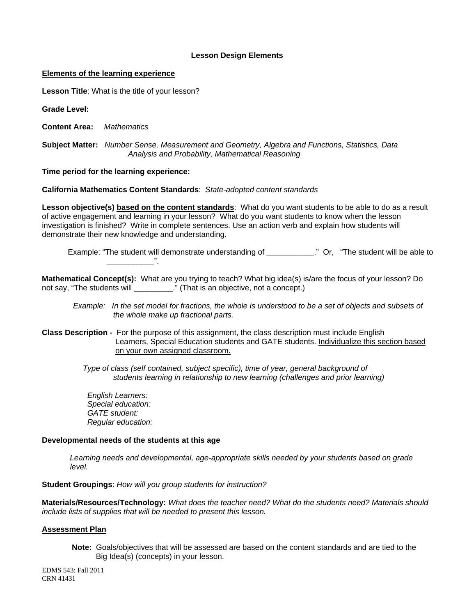### **Lesson Design Elements**

#### **Elements of the learning experience**

**Lesson Title**: What is the title of your lesson?

**Grade Level:** 

**Content Area:** *Mathematics* 

 **Subject Matter:** *Number Sense, Measurement and Geometry, Algebra and Functions, Statistics, Data Analysis and Probability, Mathematical Reasoning* 

**Time period for the learning experience:** 

\_\_\_\_\_\_\_\_\_\_\_".

**California Mathematics Content Standards**: *State-adopted content standards* 

**Lesson objective(s) based on the content standards**: What do you want students to be able to do as a result of active engagement and learning in your lesson? What do you want students to know when the lesson investigation is finished? Write in complete sentences. Use an action verb and explain how students will demonstrate their new knowledge and understanding.

Example: "The student will demonstrate understanding of \_\_\_\_\_\_\_\_\_\_\_." Or, "The student will be able to

**Mathematical Concept(s):** What are you trying to teach? What big idea(s) is/are the focus of your lesson? Do not say, "The students will \_\_\_\_\_\_\_\_\_." (That is an objective, not a concept.)

*Example: In the set model for fractions, the whole is understood to be a set of objects and subsets of the whole make up fractional parts.* 

**Class Description -** For the purpose of this assignment, the class description must include English Learners, Special Education students and GATE students. Individualize this section based on your own assigned classroom.

> *Type of class (self contained, subject specific), time of year, general background of students learning in relationship to new learning (challenges and prior learning)*

*English Learners: Special education: GATE student: Regular education:* 

### **Developmental needs of the students at this age**

*Learning needs and developmental, age-appropriate skills needed by your students based on grade level.* 

**Student Groupings**: *How will you group students for instruction?* 

**Materials/Resources/Technology:** *What does the teacher need? What do the students need? Materials should include lists of supplies that will be needed to present this lesson.* 

#### **Assessment Plan**

**Note:** Goals/objectives that will be assessed are based on the content standards and are tied to the Big Idea(s) (concepts) in your lesson.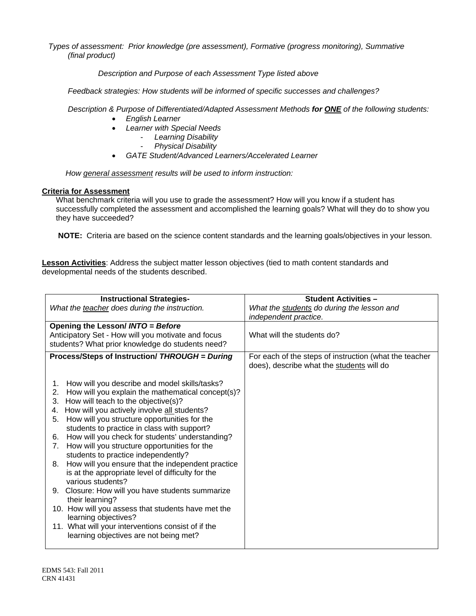*Types of assessment: Prior knowledge (pre assessment), Formative (progress monitoring), Summative (final product)*

 *Description and Purpose of each Assessment Type listed above* 

 *Feedback strategies: How students will be informed of specific successes and challenges?*

 *Description & Purpose of Differentiated/Adapted Assessment Methods for ONE of the following students:* 

- *English Learner*
- *Learner with Special Needs* 
	- *Learning Disability* 
		- *Physical Disability*
- *GATE Student/Advanced Learners/Accelerated Learner*

*How general assessment results will be used to inform instruction:* 

## **Criteria for Assessment**

What benchmark criteria will you use to grade the assessment? How will you know if a student has successfully completed the assessment and accomplished the learning goals? What will they do to show you they have succeeded?

**NOTE:** Criteria are based on the science content standards and the learning goals/objectives in your lesson.

**Lesson Activities**: Address the subject matter lesson objectives (tied to math content standards and developmental needs of the students described.

| <b>Instructional Strategies-</b>                                                          | <b>Student Activities -</b>                                                                         |
|-------------------------------------------------------------------------------------------|-----------------------------------------------------------------------------------------------------|
| What the teacher does during the instruction.                                             | What the students do during the lesson and<br>independent practice.                                 |
| Opening the Lesson/ INTO = Before                                                         |                                                                                                     |
| Anticipatory Set - How will you motivate and focus                                        | What will the students do?                                                                          |
| students? What prior knowledge do students need?                                          |                                                                                                     |
| Process/Steps of Instruction/ THROUGH = During                                            | For each of the steps of instruction (what the teacher<br>does), describe what the students will do |
| How will you describe and model skills/tasks?<br>1.                                       |                                                                                                     |
| How will you explain the mathematical concept(s)?<br>2.                                   |                                                                                                     |
| How will teach to the objective(s)?<br>3.                                                 |                                                                                                     |
| How will you actively involve all students?<br>4.                                         |                                                                                                     |
| How will you structure opportunities for the<br>5.                                        |                                                                                                     |
| students to practice in class with support?                                               |                                                                                                     |
| How will you check for students' understanding?<br>6.                                     |                                                                                                     |
| How will you structure opportunities for the<br>7.<br>students to practice independently? |                                                                                                     |
| How will you ensure that the independent practice<br>8.                                   |                                                                                                     |
| is at the appropriate level of difficulty for the                                         |                                                                                                     |
| various students?                                                                         |                                                                                                     |
| Closure: How will you have students summarize<br>9.                                       |                                                                                                     |
| their learning?                                                                           |                                                                                                     |
| 10. How will you assess that students have met the<br>learning objectives?                |                                                                                                     |
| 11. What will your interventions consist of if the                                        |                                                                                                     |
| learning objectives are not being met?                                                    |                                                                                                     |
|                                                                                           |                                                                                                     |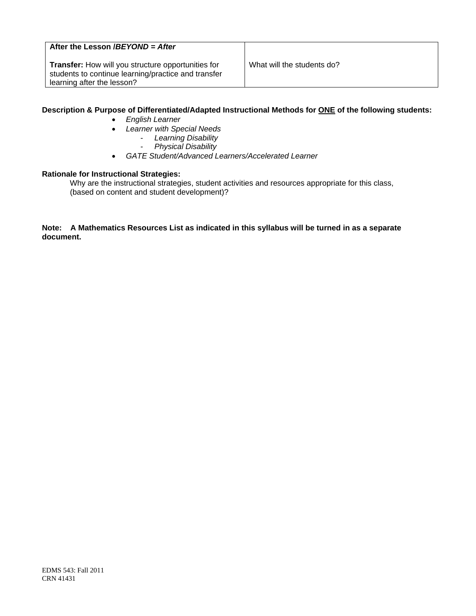# **After the Lesson /***BEYOND = After*

**Transfer:** How will you structure opportunities for What will the students do? students to continue learning/practice and transfer learning after the lesson?

## **Description & Purpose of Differentiated/Adapted Instructional Methods for ONE of the following students:**

- *English Learner*
- *Learner with Special Needs*
	- *Learning Disability* 
		- *Physical Disability*
- *GATE Student/Advanced Learners/Accelerated Learner*

#### **Rationale for Instructional Strategies:**

Why are the instructional strategies, student activities and resources appropriate for this class, (based on content and student development)?

### **Note: A Mathematics Resources List as indicated in this syllabus will be turned in as a separate document.**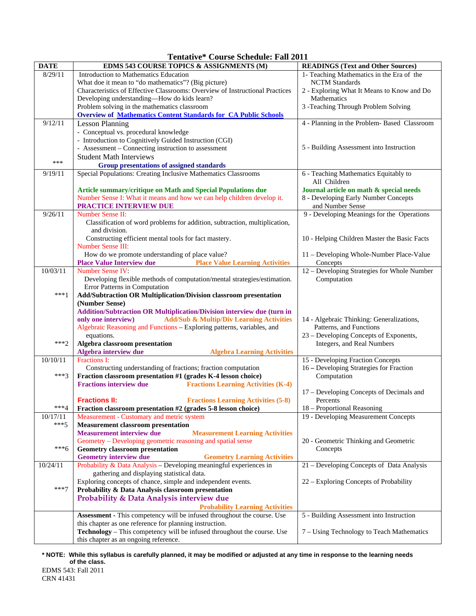| <b>Tentative* Course Schedule: Fall 2011</b> |
|----------------------------------------------|
|----------------------------------------------|

| <b>DATE</b> | Tenduve<br>Course Beneguie. Fail 2011<br>EDMS 543 COURSE TOPICS & ASSIGNMENTS (M)                                                                    | <b>READINGS (Text and Other Sources)</b>                             |
|-------------|------------------------------------------------------------------------------------------------------------------------------------------------------|----------------------------------------------------------------------|
| 8/29/11     | Introduction to Mathematics Education                                                                                                                | 1- Teaching Mathematics in the Era of the                            |
|             | What doe it mean to "do mathematics"? (Big picture)                                                                                                  | <b>NCTM</b> Standards                                                |
|             | Characteristics of Effective Classrooms: Overview of Instructional Practices                                                                         |                                                                      |
|             | Developing understanding-How do kids learn?                                                                                                          | 2 - Exploring What It Means to Know and Do<br>Mathematics            |
|             |                                                                                                                                                      |                                                                      |
|             | Problem solving in the mathematics classroom                                                                                                         | 3 - Teaching Through Problem Solving                                 |
|             | <b>Overview of Mathematics Content Standards for CA Public Schools</b>                                                                               |                                                                      |
| 9/12/11     | <b>Lesson Planning</b>                                                                                                                               | 4 - Planning in the Problem- Based Classroom                         |
|             | - Conceptual vs. procedural knowledge                                                                                                                |                                                                      |
|             | - Introduction to Cognitively Guided Instruction (CGI)                                                                                               |                                                                      |
|             | - Assessment – Connecting instruction to assessment                                                                                                  | 5 - Building Assessment into Instruction                             |
| ***         | <b>Student Math Interviews</b>                                                                                                                       |                                                                      |
|             | <b>Group presentations of assigned standards</b>                                                                                                     |                                                                      |
| 9/19/11     | Special Populations: Creating Inclusive Mathematics Classrooms                                                                                       | 6 - Teaching Mathematics Equitably to                                |
|             |                                                                                                                                                      | All Children                                                         |
|             | Article summary/critique on Math and Special Populations due                                                                                         | Journal article on math & special needs                              |
|             | Number Sense I: What it means and how we can help children develop it.                                                                               | 8 - Developing Early Number Concepts                                 |
|             | PRACTICE INTERVIEW DUE                                                                                                                               | and Number Sense                                                     |
| 9/26/11     | Number Sense II:                                                                                                                                     | 9 - Developing Meanings for the Operations                           |
|             | Classification of word problems for addition, subtraction, multiplication,                                                                           |                                                                      |
|             | and division.                                                                                                                                        |                                                                      |
|             | Constructing efficient mental tools for fact mastery.                                                                                                | 10 - Helping Children Master the Basic Facts                         |
|             | <b>Number Sense III:</b>                                                                                                                             |                                                                      |
|             | How do we promote understanding of place value?                                                                                                      | 11 - Developing Whole-Number Place-Value                             |
|             | <b>Place Value Interview due</b><br><b>Place Value Learning Activities</b>                                                                           | Concepts                                                             |
| 10/03/11    | Number Sense IV:                                                                                                                                     | 12 – Developing Strategies for Whole Number                          |
|             | Developing flexible methods of computation/mental strategies/estimation.                                                                             | Computation                                                          |
|             | Error Patterns in Computation                                                                                                                        |                                                                      |
| $***1$      | Add/Subtraction OR Multiplication/Division classroom presentation                                                                                    |                                                                      |
|             | (Number Sense)                                                                                                                                       |                                                                      |
|             | Addition/Subtraction OR Multiplication/Division interview due (turn in                                                                               |                                                                      |
|             | <b>Add/Sub &amp; Multip/Div Learning Activities</b><br>only one interview)<br>Algebraic Reasoning and Functions - Exploring patterns, variables, and | 14 - Algebraic Thinking: Generalizations,<br>Patterns, and Functions |
|             |                                                                                                                                                      |                                                                      |
| $***2$      | equations.                                                                                                                                           | 23 - Developing Concepts of Exponents,                               |
|             | Algebra classroom presentation                                                                                                                       | Integers, and Real Numbers                                           |
| 10/10/11    | Algebra interview due<br><b>Algebra Learning Activities</b><br><b>Fractions I:</b>                                                                   |                                                                      |
|             |                                                                                                                                                      | 15 - Developing Fraction Concepts                                    |
| $***3$      | Constructing understanding of fractions; fraction computation<br>Fraction classroom presentation #1 (grades K-4 lesson choice)                       | 16 - Developing Strategies for Fraction<br>Computation               |
|             | <b>Fractions interview due</b><br><b>Fractions Learning Activities (K-4)</b>                                                                         |                                                                      |
|             |                                                                                                                                                      | 17 – Developing Concepts of Decimals and                             |
|             | <b>Fractions Learning Activities (5-8)</b><br><b>Fractions II:</b>                                                                                   | Percents                                                             |
| $***4$      | Fraction classroom presentation #2 (grades 5-8 lesson choice)                                                                                        | 18 - Proportional Reasoning                                          |
| 10/17/11    | Measurement - Customary and metric system                                                                                                            | 19 - Developing Measurement Concepts                                 |
| $***5$      | <b>Measurement classroom presentation</b>                                                                                                            |                                                                      |
|             | <b>Measurement interview due</b><br><b>Measurement Learning Activities</b>                                                                           |                                                                      |
|             | Geometry – Developing geometric reasoning and spatial sense                                                                                          | 20 - Geometric Thinking and Geometric                                |
| $***6$      | <b>Geometry classroom presentation</b>                                                                                                               | Concepts                                                             |
|             | <b>Geometry interview due</b><br><b>Geometry Learning Activities</b>                                                                                 |                                                                      |
| 10/24/11    | Probability & Data Analysis - Developing meaningful experiences in                                                                                   | 21 - Developing Concepts of Data Analysis                            |
|             | gathering and displaying statistical data.                                                                                                           |                                                                      |
|             | Exploring concepts of chance, simple and independent events.                                                                                         | 22 – Exploring Concepts of Probability                               |
| $***7$      | Probability & Data Analysis classroom presentation                                                                                                   |                                                                      |
|             | Probability & Data Analysis interview due                                                                                                            |                                                                      |
|             | <b>Probability Learning Activities</b>                                                                                                               |                                                                      |
|             | Assessment - This competency will be infused throughout the course. Use                                                                              | 5 - Building Assessment into Instruction                             |
|             | this chapter as one reference for planning instruction.                                                                                              |                                                                      |
|             | Technology - This competency will be infused throughout the course. Use                                                                              | 7 – Using Technology to Teach Mathematics                            |
|             | this chapter as an ongoing reference.                                                                                                                |                                                                      |

 **\* NOTE: While this syllabus is carefully planned, it may be modified or adjusted at any time in response to the learning needs of the class.**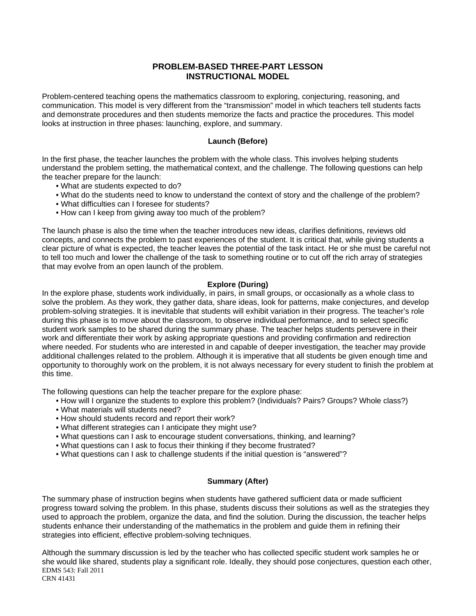# **PROBLEM-BASED THREE-PART LESSON INSTRUCTIONAL MODEL**

Problem-centered teaching opens the mathematics classroom to exploring, conjecturing, reasoning, and communication. This model is very different from the "transmission" model in which teachers tell students facts and demonstrate procedures and then students memorize the facts and practice the procedures. This model looks at instruction in three phases: launching, explore, and summary.

## **Launch (Before)**

In the first phase, the teacher launches the problem with the whole class. This involves helping students understand the problem setting, the mathematical context, and the challenge. The following questions can help the teacher prepare for the launch:

- What are students expected to do?
- What do the students need to know to understand the context of story and the challenge of the problem?
- What difficulties can I foresee for students?
- How can I keep from giving away too much of the problem?

The launch phase is also the time when the teacher introduces new ideas, clarifies definitions, reviews old concepts, and connects the problem to past experiences of the student. It is critical that, while giving students a clear picture of what is expected, the teacher leaves the potential of the task intact. He or she must be careful not to tell too much and lower the challenge of the task to something routine or to cut off the rich array of strategies that may evolve from an open launch of the problem.

## **Explore (During)**

In the explore phase, students work individually, in pairs, in small groups, or occasionally as a whole class to solve the problem. As they work, they gather data, share ideas, look for patterns, make conjectures, and develop problem-solving strategies. It is inevitable that students will exhibit variation in their progress. The teacher's role during this phase is to move about the classroom, to observe individual performance, and to select specific student work samples to be shared during the summary phase. The teacher helps students persevere in their work and differentiate their work by asking appropriate questions and providing confirmation and redirection where needed. For students who are interested in and capable of deeper investigation, the teacher may provide additional challenges related to the problem. Although it is imperative that all students be given enough time and opportunity to thoroughly work on the problem, it is not always necessary for every student to finish the problem at this time.

The following questions can help the teacher prepare for the explore phase:

- How will I organize the students to explore this problem? (Individuals? Pairs? Groups? Whole class?)
- What materials will students need?
- How should students record and report their work?
- . What different strategies can I anticipate they might use?
- What questions can I ask to encourage student conversations, thinking, and learning?
- What questions can I ask to focus their thinking if they become frustrated?
- What questions can I ask to challenge students if the initial question is "answered"?

### **Summary (After)**

The summary phase of instruction begins when students have gathered sufficient data or made sufficient progress toward solving the problem. In this phase, students discuss their solutions as well as the strategies they used to approach the problem, organize the data, and find the solution. During the discussion, the teacher helps students enhance their understanding of the mathematics in the problem and guide them in refining their strategies into efficient, effective problem-solving techniques.

Although the summary discussion is led by the teacher who has collected specific student work samples he or she would like shared, students play a significant role. Ideally, they should pose conjectures, question each other, EDMS 543: Fall 2011 CRN 41431